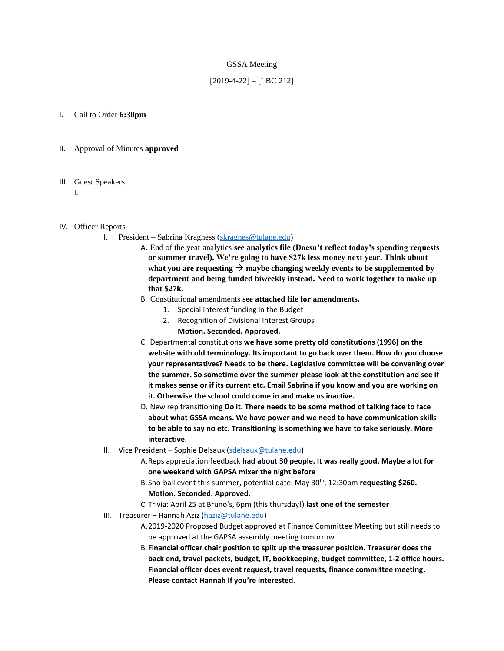#### GSSA Meeting

### [2019-4-22] – [LBC 212]

#### I. Call to Order **6:30pm**

#### II. Approval of Minutes **approved**

#### III. Guest Speakers

I.

#### IV. Officer Reports

- I. President Sabrina Kragness [\(skragnes@tulane.edu\)](mailto:skragnes@tulane.edu)
	- A. End of the year analytics **see analytics file (Doesn't reflect today's spending requests or summer travel). We're going to have \$27k less money next year. Think about**  what you are requesting  $\rightarrow$  maybe changing weekly events to be supplemented by **department and being funded biweekly instead. Need to work together to make up that \$27k.**
	- B. Constitutional amendments **see attached file for amendments.**
		- 1. Special Interest funding in the Budget
		- 2. Recognition of Divisional Interest Groups
			- **Motion. Seconded. Approved.**
	- C. Departmental constitutions **we have some pretty old constitutions (1996) on the website with old terminology. Its important to go back over them. How do you choose your representatives? Needs to be there. Legislative committee will be convening over the summer. So sometime over the summer please look at the constitution and see if it makes sense or if its current etc. Email Sabrina if you know and you are working on it. Otherwise the school could come in and make us inactive.**
	- D. New rep transitioning **Do it. There needs to be some method of talking face to face about what GSSA means. We have power and we need to have communication skills to be able to say no etc. Transitioning is something we have to take seriously. More interactive.**
- II. Vice President Sophie Delsaux [\(sdelsaux@tulane.edu\)](mailto:sdelsaux@tulane.edu)
	- A.Reps appreciation feedback **had about 30 people. It was really good. Maybe a lot for one weekend with GAPSA mixer the night before**
	- B. Sno-ball event this summer, potential date: May 30<sup>th</sup>, 12:30pm requesting \$260. **Motion. Seconded. Approved.**
	- C.Trivia: April 25 at Bruno's, 6pm (this thursday!) **last one of the semester**
- III. Treasurer Hannah Aziz [\(haziz@tulane.edu\)](mailto:haziz@tulane.edu)
	- A.2019-2020 Proposed Budget approved at Finance Committee Meeting but still needs to be approved at the GAPSA assembly meeting tomorrow
	- B.**Financial officer chair position to split up the treasurer position. Treasurer does the back end, travel packets, budget, IT, bookkeeping, budget committee, 1-2 office hours. Financial officer does event request, travel requests, finance committee meeting. Please contact Hannah if you're interested.**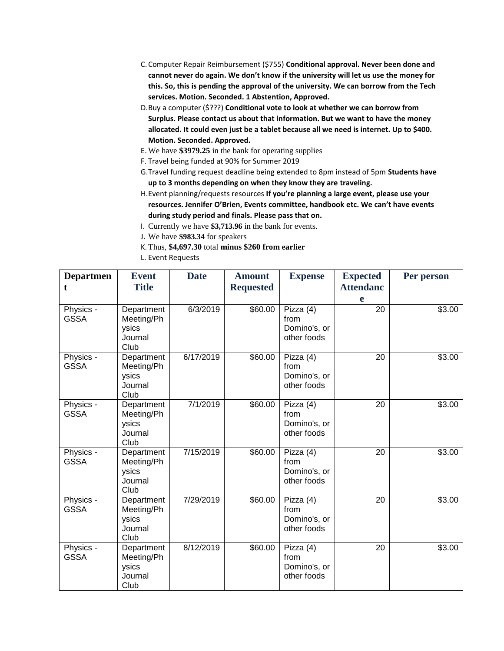- C.Computer Repair Reimbursement (\$755) **Conditional approval. Never been done and cannot never do again. We don't know if the university will let us use the money for this. So, this is pending the approval of the university. We can borrow from the Tech services. Motion. Seconded. 1 Abstention, Approved.**
- D.Buy a computer (\$???) **Conditional vote to look at whether we can borrow from Surplus. Please contact us about that information. But we want to have the money allocated. It could even just be a tablet because all we need is internet. Up to \$400. Motion. Seconded. Approved.**
- E. We have **\$3979.25** in the bank for operating supplies
- F. Travel being funded at 90% for Summer 2019
- G.Travel funding request deadline being extended to 8pm instead of 5pm **Students have up to 3 months depending on when they know they are traveling.**
- H.Event planning/requests resources **If you're planning a large event, please use your resources. Jennifer O'Brien, Events committee, handbook etc. We can't have events during study period and finals. Please pass that on.**
- I. Currently we have **\$3,713.96** in the bank for events.
- J. We have **\$983.34** for speakers
- K.Thus, **\$4,697.30** total **minus \$260 from earlier**
- L. Event Requests

| <b>Departmen</b><br>t    | <b>Event</b><br><b>Title</b>                         | <b>Date</b> | <b>Amount</b><br><b>Requested</b> | <b>Expense</b>                                   | <b>Expected</b><br><b>Attendanc</b><br>e | Per person |
|--------------------------|------------------------------------------------------|-------------|-----------------------------------|--------------------------------------------------|------------------------------------------|------------|
| Physics -<br><b>GSSA</b> | Department<br>Meeting/Ph<br>ysics<br>Journal<br>Club | 6/3/2019    | \$60.00                           | Pizza (4)<br>from<br>Domino's, or<br>other foods | 20                                       | \$3.00     |
| Physics -<br><b>GSSA</b> | Department<br>Meeting/Ph<br>ysics<br>Journal<br>Club | 6/17/2019   | \$60.00                           | Pizza (4)<br>from<br>Domino's, or<br>other foods | 20                                       | \$3.00     |
| Physics -<br><b>GSSA</b> | Department<br>Meeting/Ph<br>ysics<br>Journal<br>Club | 7/1/2019    | \$60.00                           | Pizza (4)<br>from<br>Domino's, or<br>other foods | 20                                       | \$3.00     |
| Physics -<br><b>GSSA</b> | Department<br>Meeting/Ph<br>ysics<br>Journal<br>Club | 7/15/2019   | \$60.00                           | Pizza (4)<br>from<br>Domino's, or<br>other foods | 20                                       | \$3.00     |
| Physics -<br><b>GSSA</b> | Department<br>Meeting/Ph<br>ysics<br>Journal<br>Club | 7/29/2019   | \$60.00                           | Pizza (4)<br>from<br>Domino's, or<br>other foods | 20                                       | \$3.00     |
| Physics -<br><b>GSSA</b> | Department<br>Meeting/Ph<br>ysics<br>Journal<br>Club | 8/12/2019   | \$60.00                           | Pizza (4)<br>from<br>Domino's, or<br>other foods | $\overline{20}$                          | \$3.00     |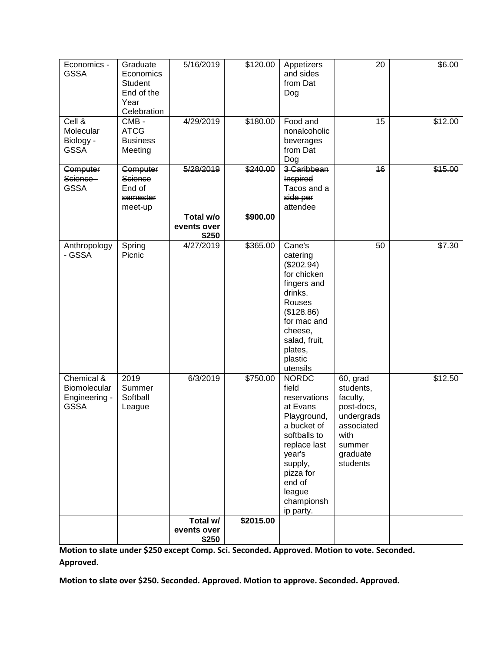| Economics -<br><b>GSSA</b>                                 | Graduate<br>Economics<br><b>Student</b><br>End of the<br>Year<br>Celebration | 5/16/2019                         | \$120.00         | Appetizers<br>and sides<br>from Dat<br>Dog                                                                                                                                                       | 20                                                                                                                    | \$6.00  |
|------------------------------------------------------------|------------------------------------------------------------------------------|-----------------------------------|------------------|--------------------------------------------------------------------------------------------------------------------------------------------------------------------------------------------------|-----------------------------------------------------------------------------------------------------------------------|---------|
| Cell &<br>Molecular<br>Biology -<br><b>GSSA</b>            | $CMB -$<br><b>ATCG</b><br><b>Business</b><br>Meeting                         | 4/29/2019                         | \$180.00         | Food and<br>nonalcoholic<br>beverages<br>from Dat<br>Dog                                                                                                                                         | 15                                                                                                                    | \$12.00 |
| <b>Computer</b><br>Science -<br><b>GSSA</b>                | <b>Computer</b><br>Science<br>End of<br>semester<br>meet-up                  | 5/28/2019                         | $\sqrt{$240.00}$ | 3 Caribbean<br><b>Inspired</b><br>Tacos and a<br>side per<br>attendee                                                                                                                            | 16                                                                                                                    | \$15.00 |
|                                                            |                                                                              | Total w/o<br>events over<br>\$250 | \$900.00         |                                                                                                                                                                                                  |                                                                                                                       |         |
| Anthropology<br>- GSSA                                     | Spring<br>Picnic                                                             | 4/27/2019                         | \$365.00         | Cane's<br>catering<br>(\$202.94)<br>for chicken<br>fingers and<br>drinks.<br>Rouses<br>(\$128.86)<br>for mac and<br>cheese,<br>salad, fruit,<br>plates,<br>plastic<br>utensils                   | 50                                                                                                                    | \$7.30  |
| Chemical &<br>Biomolecular<br>Engineering -<br><b>GSSA</b> | 2019<br>Summer<br>Softball<br>League                                         | 6/3/2019                          | \$750.00         | <b>NORDC</b><br>field<br>reservations<br>at Evans<br>Playground,<br>a bucket of<br>softballs to<br>replace last<br>year's<br>supply,<br>pizza for<br>end of<br>league<br>championsh<br>ip party. | 60, grad<br>students,<br>faculty,<br>post-docs,<br>undergrads<br>associated<br>with<br>summer<br>graduate<br>students | \$12.50 |
|                                                            |                                                                              | Total w/<br>events over           | \$2015.00        |                                                                                                                                                                                                  |                                                                                                                       |         |
|                                                            |                                                                              | \$250                             |                  |                                                                                                                                                                                                  |                                                                                                                       |         |

**Motion to slate under \$250 except Comp. Sci. Seconded. Approved. Motion to vote. Seconded. Approved.** 

**Motion to slate over \$250. Seconded. Approved. Motion to approve. Seconded. Approved.**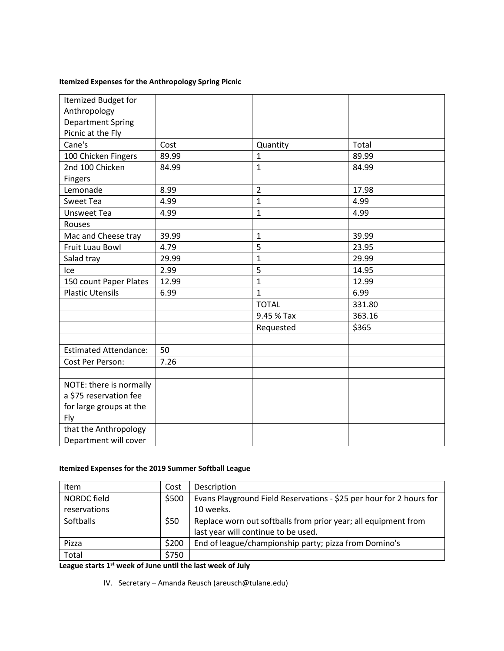# **Itemized Expenses for the Anthropology Spring Picnic**

| Itemized Budget for          |       |                |        |
|------------------------------|-------|----------------|--------|
| Anthropology                 |       |                |        |
| <b>Department Spring</b>     |       |                |        |
| Picnic at the Fly            |       |                |        |
| Cane's                       | Cost  | Quantity       | Total  |
| 100 Chicken Fingers          | 89.99 | $\mathbf{1}$   | 89.99  |
| 2nd 100 Chicken              | 84.99 | $\mathbf{1}$   | 84.99  |
| <b>Fingers</b>               |       |                |        |
| Lemonade                     | 8.99  | $\overline{2}$ | 17.98  |
| Sweet Tea                    | 4.99  | $\mathbf{1}$   | 4.99   |
| <b>Unsweet Tea</b>           | 4.99  | $\mathbf{1}$   | 4.99   |
| Rouses                       |       |                |        |
| Mac and Cheese tray          | 39.99 | $\mathbf{1}$   | 39.99  |
| Fruit Luau Bowl              | 4.79  | 5              | 23.95  |
| Salad tray                   | 29.99 | $\mathbf{1}$   | 29.99  |
| Ice                          | 2.99  | 5              | 14.95  |
| 150 count Paper Plates       | 12.99 | $\overline{1}$ | 12.99  |
| <b>Plastic Utensils</b>      | 6.99  | $\mathbf{1}$   | 6.99   |
|                              |       | <b>TOTAL</b>   | 331.80 |
|                              |       | 9.45 % Tax     | 363.16 |
|                              |       | Requested      | \$365  |
|                              |       |                |        |
| <b>Estimated Attendance:</b> | 50    |                |        |
| Cost Per Person:             | 7.26  |                |        |
|                              |       |                |        |
| NOTE: there is normally      |       |                |        |
| a \$75 reservation fee       |       |                |        |
| for large groups at the      |       |                |        |
| Fly                          |       |                |        |
| that the Anthropology        |       |                |        |
| Department will cover        |       |                |        |

## **Itemized Expenses for the 2019 Summer Softball League**

| <b>Item</b>        | Cost  | Description                                                         |
|--------------------|-------|---------------------------------------------------------------------|
| <b>NORDC</b> field | \$500 | Evans Playground Field Reservations - \$25 per hour for 2 hours for |
| reservations       |       | 10 weeks.                                                           |
| Softballs          | \$50  | Replace worn out softballs from prior year; all equipment from      |
|                    |       | last year will continue to be used.                                 |
| Pizza              | \$200 | End of league/championship party; pizza from Domino's               |
| Total              | \$750 |                                                                     |

**League starts 1st week of June until the last week of July**

IV. Secretary – Amanda Reusch (areusch@tulane.edu)